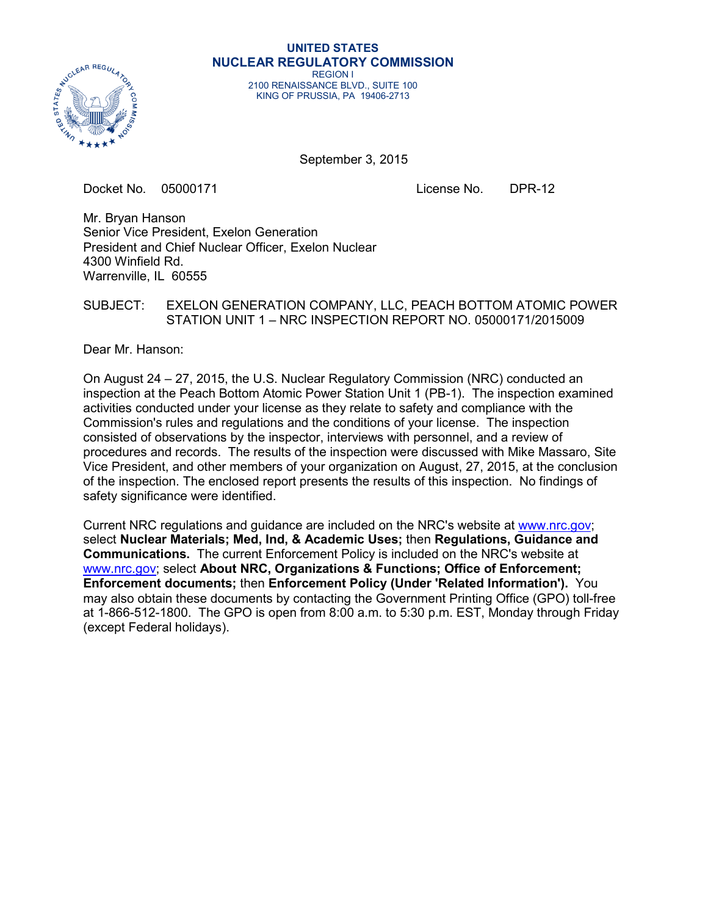

#### **UNITED STATES NUCLEAR REGULATORY COMMISSION**

REGION I 2100 RENAISSANCE BLVD., SUITE 100 KING OF PRUSSIA, PA 19406-2713

September 3, 2015

Docket No. 05000171 License No. DPR-12

Mr. Bryan Hanson Senior Vice President, Exelon Generation President and Chief Nuclear Officer, Exelon Nuclear 4300 Winfield Rd. Warrenville, IL 60555

### SUBJECT: EXELON GENERATION COMPANY, LLC, PEACH BOTTOM ATOMIC POWER STATION UNIT 1 – NRC INSPECTION REPORT NO. 05000171/2015009

Dear Mr. Hanson:

On August 24 – 27, 2015, the U.S. Nuclear Regulatory Commission (NRC) conducted an inspection at the Peach Bottom Atomic Power Station Unit 1 (PB-1). The inspection examined activities conducted under your license as they relate to safety and compliance with the Commission's rules and regulations and the conditions of your license. The inspection consisted of observations by the inspector, interviews with personnel, and a review of procedures and records. The results of the inspection were discussed with Mike Massaro, Site Vice President, and other members of your organization on August, 27, 2015, at the conclusion of the inspection. The enclosed report presents the results of this inspection. No findings of safety significance were identified.

Current NRC regulations and guidance are included on the NRC's website at www.nrc.gov; select **Nuclear Materials; Med, Ind, & Academic Uses;** then **Regulations, Guidance and Communications.** The current Enforcement Policy is included on the NRC's website at www.nrc.gov; select **About NRC, Organizations & Functions; Office of Enforcement; Enforcement documents;** then **Enforcement Policy (Under 'Related Information').** You may also obtain these documents by contacting the Government Printing Office (GPO) toll-free at 1-866-512-1800. The GPO is open from 8:00 a.m. to 5:30 p.m. EST, Monday through Friday (except Federal holidays).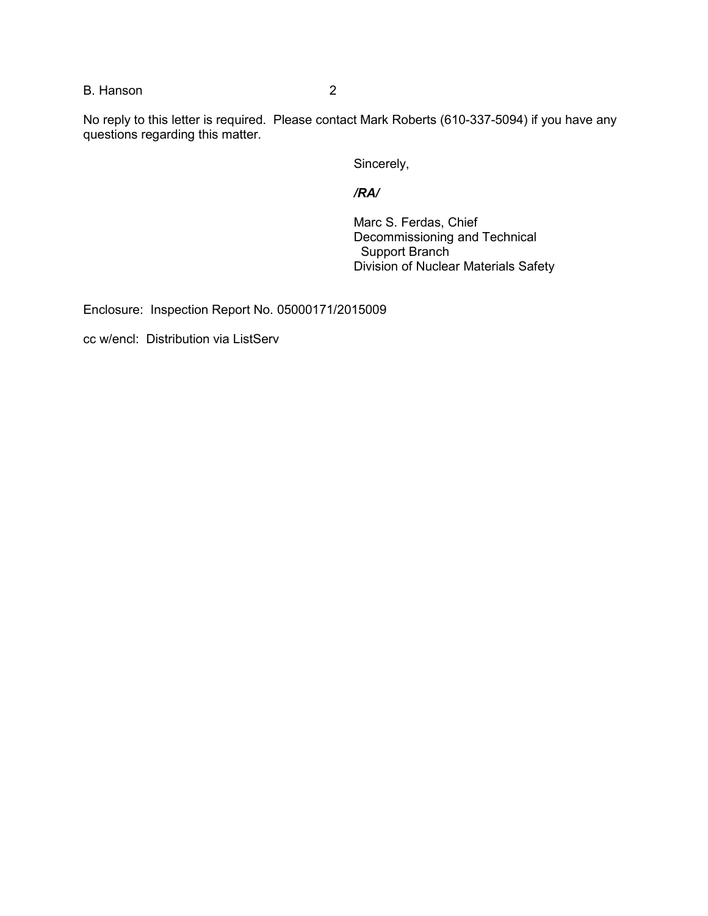B. Hanson 2

No reply to this letter is required. Please contact Mark Roberts (610-337-5094) if you have any questions regarding this matter.

Sincerely,

# */RA/*

Marc S. Ferdas, Chief Decommissioning and Technical Support Branch Division of Nuclear Materials Safety

Enclosure: Inspection Report No. 05000171/2015009

cc w/encl: Distribution via ListServ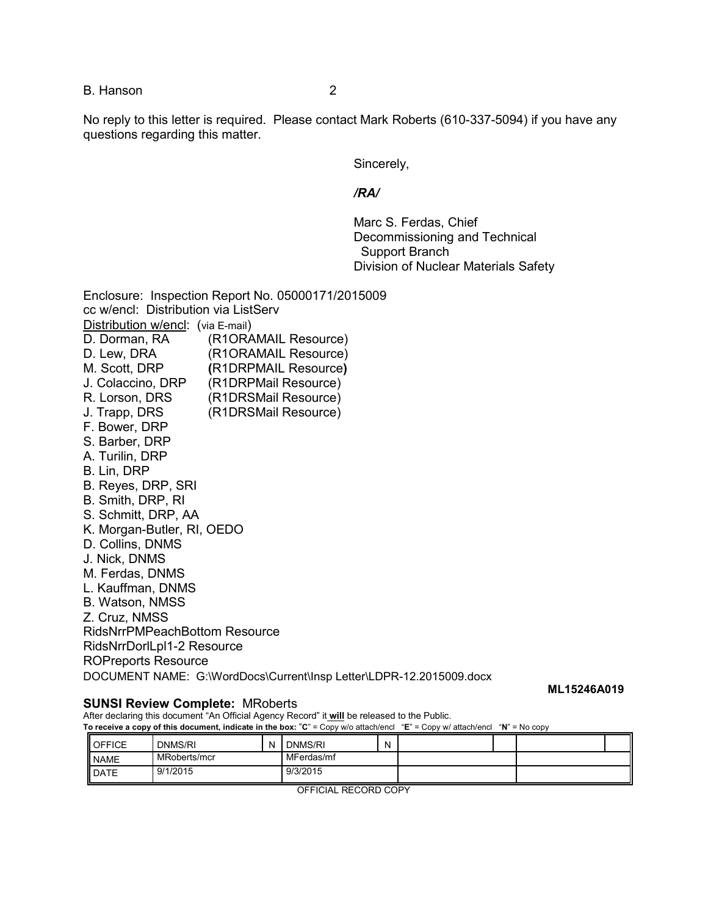B. Hanson 2

No reply to this letter is required. Please contact Mark Roberts (610-337-5094) if you have any questions regarding this matter.

Sincerely,

#### */RA/*

Marc S. Ferdas, Chief Decommissioning and Technical Support Branch Division of Nuclear Materials Safety

Enclosure: Inspection Report No. 05000171/2015009 cc w/encl: Distribution via ListServ Distribution w/encl: (via E-mail) D. Dorman, RA (R1ORAMAIL Resource) D. Lew, DRA (R1ORAMAIL Resource) M. Scott, DRP **(**R1DRPMAIL Resource**)** J. Colaccino, DRP (R1DRPMail Resource) R. Lorson, DRS (R1DRSMail Resource) J. Trapp, DRS (R1DRSMail Resource) F. Bower, DRP S. Barber, DRP A. Turilin, DRP B. Lin, DRP B. Reyes, DRP, SRI B. Smith, DRP, RI S. Schmitt, DRP, AA K. Morgan-Butler, RI, OEDO D. Collins, DNMS J. Nick, DNMS M. Ferdas, DNMS L. Kauffman, DNMS B. Watson, NMSS Z. Cruz, NMSS RidsNrrPMPeachBottom Resource RidsNrrDorlLpl1-2 Resource ROPreports Resource DOCUMENT NAME: G:\WordDocs\Current\Insp Letter\LDPR-12.2015009.docx

#### **SUNSI Review Complete:** MRoberts

**ML15246A019**

After declaring this document "An Official Agency Record" it **will** be released to the Public.

**To receive a copy of this document, indicate in the box:** "**C**" = Copy w/o attach/encl "**E**" = Copy w/ attach/encl "**N**" = No copy

| OFFICE             | DNMS/RI      | N | DNMS/RI    | N |  |  |
|--------------------|--------------|---|------------|---|--|--|
| <b>NAME</b>        | MRoberts/mcr |   | MFerdas/mf |   |  |  |
| <b>I</b> DATE<br>Ш | 9/1/2015     |   | 9/3/2015   |   |  |  |

OFFICIAL RECORD COPY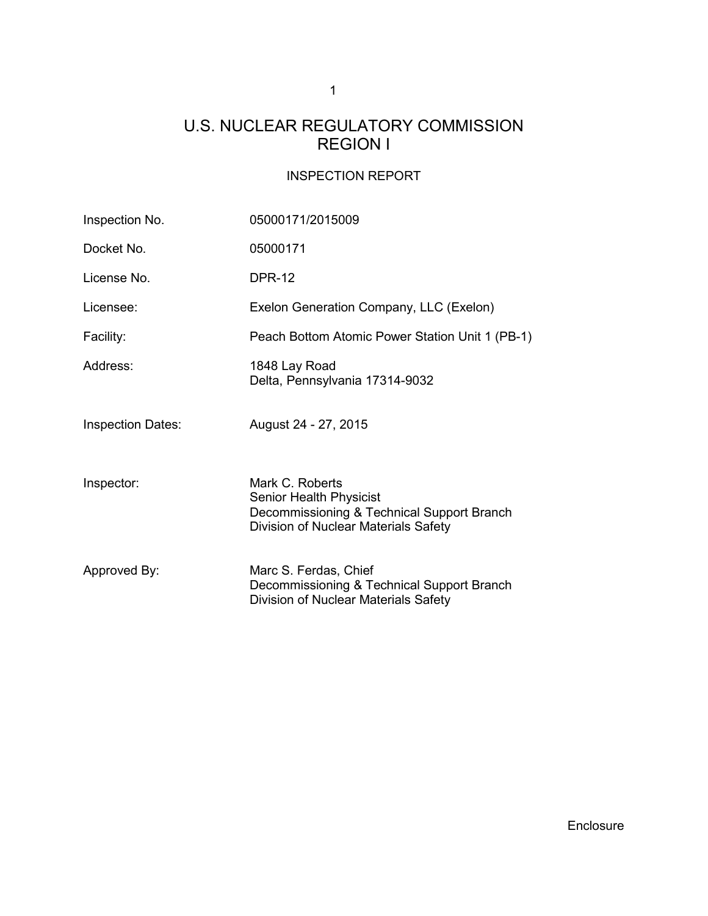# U.S. NUCLEAR REGULATORY COMMISSION REGION I

# INSPECTION REPORT

| Inspection No.           | 05000171/2015009                                                                                                                        |  |  |  |  |
|--------------------------|-----------------------------------------------------------------------------------------------------------------------------------------|--|--|--|--|
| Docket No.               | 05000171                                                                                                                                |  |  |  |  |
| License No.              | <b>DPR-12</b>                                                                                                                           |  |  |  |  |
| Licensee:                | Exelon Generation Company, LLC (Exelon)                                                                                                 |  |  |  |  |
| Facility:                | Peach Bottom Atomic Power Station Unit 1 (PB-1)                                                                                         |  |  |  |  |
| Address:                 | 1848 Lay Road<br>Delta, Pennsylvania 17314-9032                                                                                         |  |  |  |  |
| <b>Inspection Dates:</b> | August 24 - 27, 2015                                                                                                                    |  |  |  |  |
| Inspector:               | Mark C. Roberts<br><b>Senior Health Physicist</b><br>Decommissioning & Technical Support Branch<br>Division of Nuclear Materials Safety |  |  |  |  |
| Approved By:             | Marc S. Ferdas, Chief<br>Decommissioning & Technical Support Branch<br>Division of Nuclear Materials Safety                             |  |  |  |  |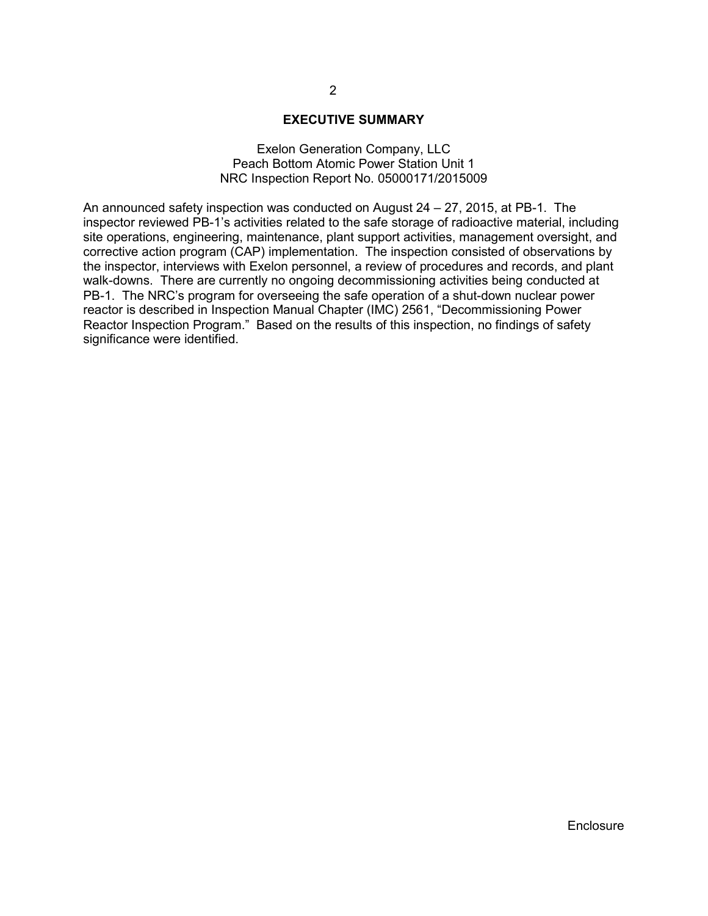#### **EXECUTIVE SUMMARY**

#### Exelon Generation Company, LLC Peach Bottom Atomic Power Station Unit 1 NRC Inspection Report No. 05000171/2015009

An announced safety inspection was conducted on August  $24 - 27$ , 2015, at PB-1. The inspector reviewed PB-1's activities related to the safe storage of radioactive material, including site operations, engineering, maintenance, plant support activities, management oversight, and corrective action program (CAP) implementation. The inspection consisted of observations by the inspector, interviews with Exelon personnel, a review of procedures and records, and plant walk-downs. There are currently no ongoing decommissioning activities being conducted at PB-1. The NRC's program for overseeing the safe operation of a shut-down nuclear power reactor is described in Inspection Manual Chapter (IMC) 2561, "Decommissioning Power Reactor Inspection Program." Based on the results of this inspection, no findings of safety significance were identified.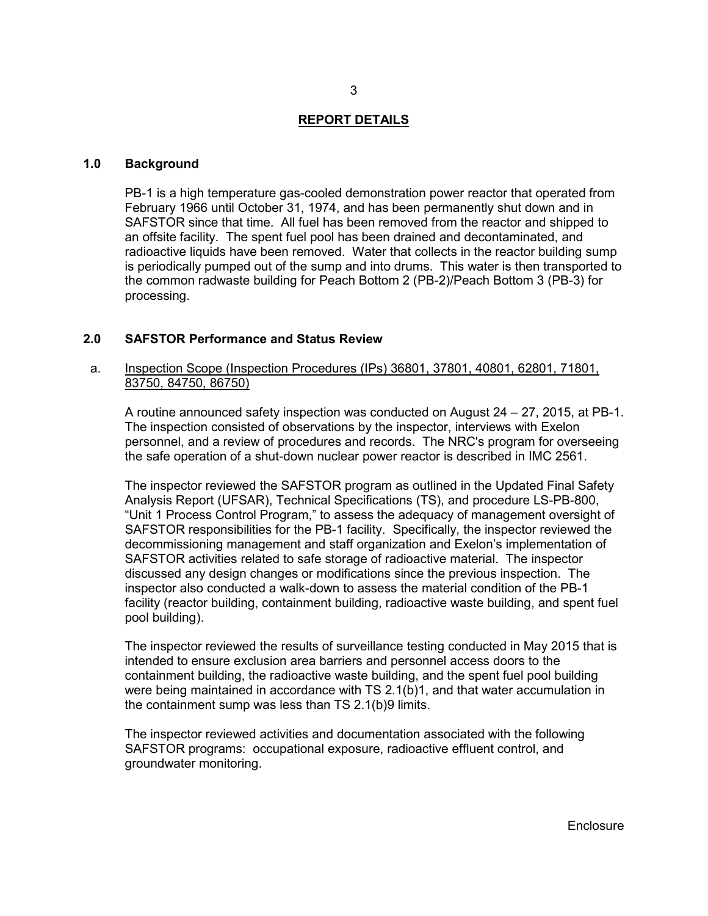#### **REPORT DETAILS**

#### **1.0 Background**

PB-1 is a high temperature gas-cooled demonstration power reactor that operated from February 1966 until October 31, 1974, and has been permanently shut down and in SAFSTOR since that time. All fuel has been removed from the reactor and shipped to an offsite facility. The spent fuel pool has been drained and decontaminated, and radioactive liquids have been removed. Water that collects in the reactor building sump is periodically pumped out of the sump and into drums. This water is then transported to the common radwaste building for Peach Bottom 2 (PB-2)/Peach Bottom 3 (PB-3) for processing.

#### **2.0 SAFSTOR Performance and Status Review**

#### a. Inspection Scope (Inspection Procedures (IPs) 36801, 37801, 40801, 62801, 71801, 83750, 84750, 86750)

A routine announced safety inspection was conducted on August 24 – 27, 2015, at PB-1. The inspection consisted of observations by the inspector, interviews with Exelon personnel, and a review of procedures and records. The NRC's program for overseeing the safe operation of a shut-down nuclear power reactor is described in IMC 2561.

The inspector reviewed the SAFSTOR program as outlined in the Updated Final Safety Analysis Report (UFSAR), Technical Specifications (TS), and procedure LS-PB-800, "Unit 1 Process Control Program," to assess the adequacy of management oversight of SAFSTOR responsibilities for the PB-1 facility. Specifically, the inspector reviewed the decommissioning management and staff organization and Exelon's implementation of SAFSTOR activities related to safe storage of radioactive material. The inspector discussed any design changes or modifications since the previous inspection. The inspector also conducted a walk-down to assess the material condition of the PB-1 facility (reactor building, containment building, radioactive waste building, and spent fuel pool building).

The inspector reviewed the results of surveillance testing conducted in May 2015 that is intended to ensure exclusion area barriers and personnel access doors to the containment building, the radioactive waste building, and the spent fuel pool building were being maintained in accordance with TS 2.1(b)1, and that water accumulation in the containment sump was less than TS 2.1(b)9 limits.

The inspector reviewed activities and documentation associated with the following SAFSTOR programs: occupational exposure, radioactive effluent control, and groundwater monitoring.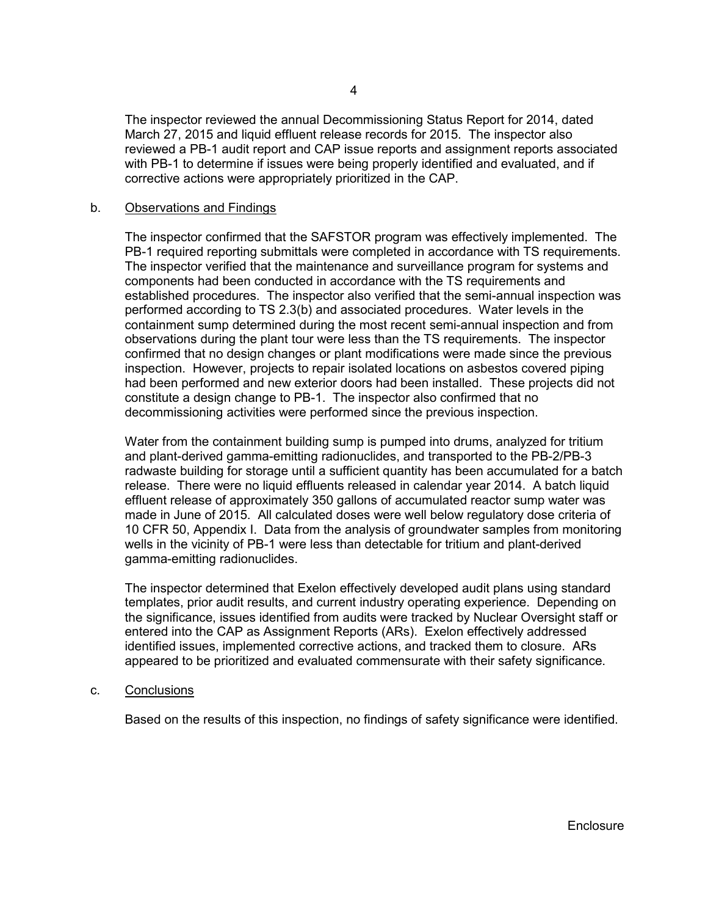The inspector reviewed the annual Decommissioning Status Report for 2014, dated March 27, 2015 and liquid effluent release records for 2015. The inspector also reviewed a PB-1 audit report and CAP issue reports and assignment reports associated with PB-1 to determine if issues were being properly identified and evaluated, and if corrective actions were appropriately prioritized in the CAP.

#### b. Observations and Findings

The inspector confirmed that the SAFSTOR program was effectively implemented. The PB-1 required reporting submittals were completed in accordance with TS requirements. The inspector verified that the maintenance and surveillance program for systems and components had been conducted in accordance with the TS requirements and established procedures. The inspector also verified that the semi-annual inspection was performed according to TS 2.3(b) and associated procedures. Water levels in the containment sump determined during the most recent semi-annual inspection and from observations during the plant tour were less than the TS requirements. The inspector confirmed that no design changes or plant modifications were made since the previous inspection. However, projects to repair isolated locations on asbestos covered piping had been performed and new exterior doors had been installed. These projects did not constitute a design change to PB-1. The inspector also confirmed that no decommissioning activities were performed since the previous inspection.

Water from the containment building sump is pumped into drums, analyzed for tritium and plant-derived gamma-emitting radionuclides, and transported to the PB-2/PB-3 radwaste building for storage until a sufficient quantity has been accumulated for a batch release. There were no liquid effluents released in calendar year 2014. A batch liquid effluent release of approximately 350 gallons of accumulated reactor sump water was made in June of 2015. All calculated doses were well below regulatory dose criteria of 10 CFR 50, Appendix I. Data from the analysis of groundwater samples from monitoring wells in the vicinity of PB-1 were less than detectable for tritium and plant-derived gamma-emitting radionuclides.

The inspector determined that Exelon effectively developed audit plans using standard templates, prior audit results, and current industry operating experience. Depending on the significance, issues identified from audits were tracked by Nuclear Oversight staff or entered into the CAP as Assignment Reports (ARs). Exelon effectively addressed identified issues, implemented corrective actions, and tracked them to closure. ARs appeared to be prioritized and evaluated commensurate with their safety significance.

c. Conclusions

Based on the results of this inspection, no findings of safety significance were identified.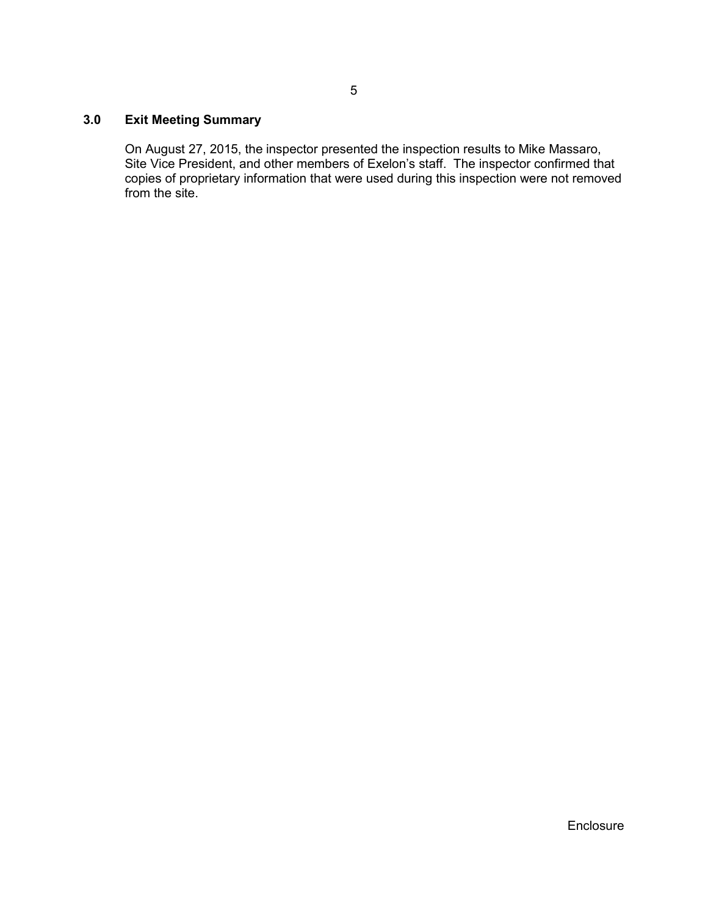# **3.0 Exit Meeting Summary**

On August 27, 2015, the inspector presented the inspection results to Mike Massaro, Site Vice President, and other members of Exelon's staff. The inspector confirmed that copies of proprietary information that were used during this inspection were not removed from the site.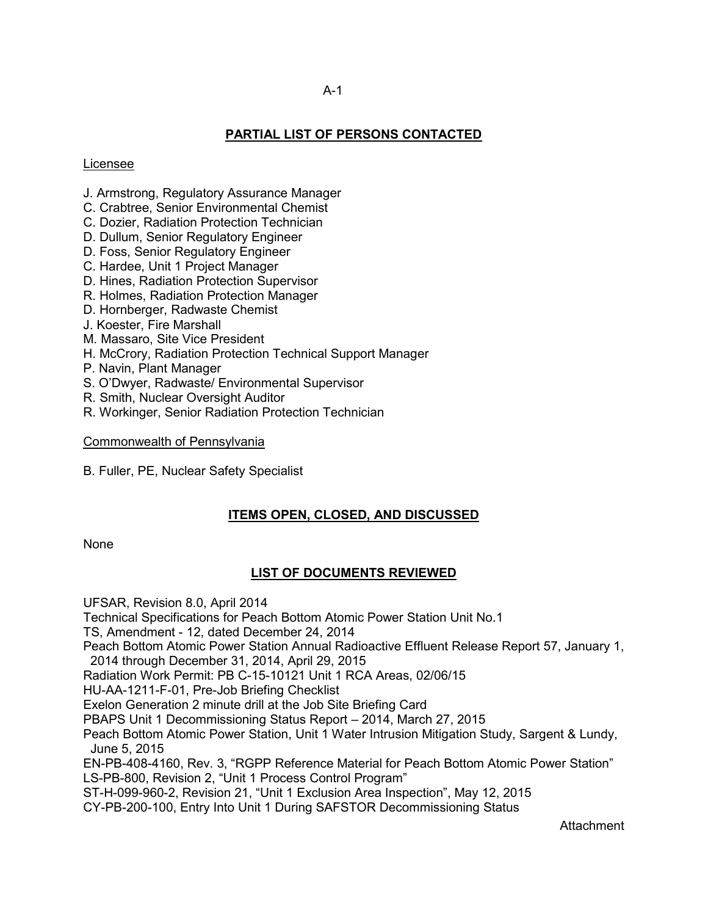# **PARTIAL LIST OF PERSONS CONTACTED**

#### Licensee

- J. Armstrong, Regulatory Assurance Manager
- C. Crabtree, Senior Environmental Chemist
- C. Dozier, Radiation Protection Technician
- D. Dullum, Senior Regulatory Engineer
- D. Foss, Senior Regulatory Engineer
- C. Hardee, Unit 1 Project Manager
- D. Hines, Radiation Protection Supervisor
- R. Holmes, Radiation Protection Manager
- D. Hornberger, Radwaste Chemist
- J. Koester, Fire Marshall
- M. Massaro, Site Vice President
- H. McCrory, Radiation Protection Technical Support Manager
- P. Navin, Plant Manager
- S. O'Dwyer, Radwaste/ Environmental Supervisor
- R. Smith, Nuclear Oversight Auditor
- R. Workinger, Senior Radiation Protection Technician

#### Commonwealth of Pennsylvania

B. Fuller, PE, Nuclear Safety Specialist

# **ITEMS OPEN, CLOSED, AND DISCUSSED**

**None** 

# **LIST OF DOCUMENTS REVIEWED**

UFSAR, Revision 8.0, April 2014

Technical Specifications for Peach Bottom Atomic Power Station Unit No.1

TS, Amendment - 12, dated December 24, 2014

Peach Bottom Atomic Power Station Annual Radioactive Effluent Release Report 57, January 1,

2014 through December 31, 2014, April 29, 2015

Radiation Work Permit: PB C-15-10121 Unit 1 RCA Areas, 02/06/15

HU-AA-1211-F-01, Pre-Job Briefing Checklist

Exelon Generation 2 minute drill at the Job Site Briefing Card

PBAPS Unit 1 Decommissioning Status Report – 2014, March 27, 2015

Peach Bottom Atomic Power Station, Unit 1 Water Intrusion Mitigation Study, Sargent & Lundy, June 5, 2015

EN-PB-408-4160, Rev. 3, "RGPP Reference Material for Peach Bottom Atomic Power Station" LS-PB-800, Revision 2, "Unit 1 Process Control Program"

ST-H-099-960-2, Revision 21, "Unit 1 Exclusion Area Inspection", May 12, 2015

CY-PB-200-100, Entry Into Unit 1 During SAFSTOR Decommissioning Status

Attachment